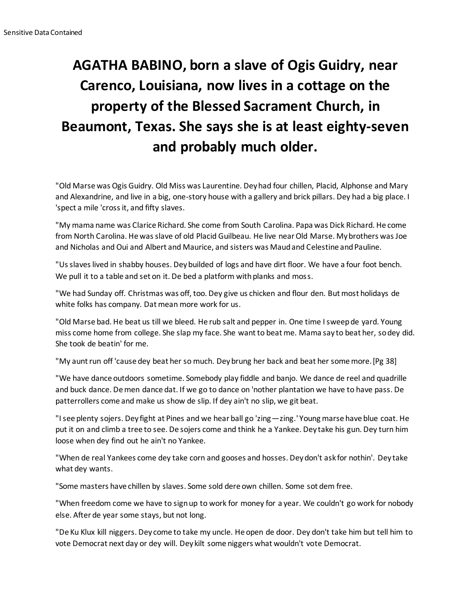## **AGATHA BABINO, born a slave of Ogis Guidry, near Carenco, Louisiana, now lives in a cottage on the property of the Blessed Sacrament Church, in Beaumont, Texas. She says she is at least eighty-seven and probably much older.**

"Old Marse was Ogis Guidry. Old Miss was Laurentine. Dey had four chillen, Placid, Alphonse and Mary and Alexandrine, and live in a big, one-story house with a gallery and brick pillars. Dey had a big place. I 'spect a mile 'cross it, and fifty slaves.

"My mama name was Clarice Richard. She come from South Carolina. Papa was Dick Richard. He come from North Carolina. He was slave of old Placid Guilbeau. He live near Old Marse. My brothers was Joe and Nicholas and Oui and Albert and Maurice, and sisters was Maud and Celestine and Pauline.

"Us slaves lived in shabby houses. Dey builded of logs and have dirt floor. We have a four foot bench. We pull it to a table and set on it. De bed a platform with planks and moss.

"We had Sunday off. Christmas was off, too. Dey give us chicken and flour den. But most holidays de white folks has company. Dat mean more work for us.

"Old Marse bad. He beat us till we bleed. He rub salt and pepper in. One time I sweep de yard. Young miss come home from college. She slap my face. She want to beat me. Mama say to beat her, so dey did. She took de beatin' for me.

"My aunt run off 'cause dey beat her so much. Dey brung her back and beat her some more.[Pg 38]

"We have dance outdoors sometime. Somebody play fiddle and banjo. We dance de reel and quadrille and buck dance. De men dance dat. If we go to dance on 'nother plantation we have to have pass. De patterrollers come and make us show de slip. If dey ain't no slip, we git beat.

"I see plenty sojers. Dey fight at Pines and we hear ball go 'zing—zing.' Young marse have blue coat. He put it on and climb a tree to see. De sojers come and think he a Yankee. Dey take his gun. Dey turn him loose when dey find out he ain't no Yankee.

"When de real Yankees come dey take corn and gooses and hosses. Dey don't ask for nothin'. Dey take what dey wants.

"Some masters have chillen by slaves. Some sold dere own chillen. Some sot dem free.

"When freedom come we have to sign up to work for money for a year. We couldn't go work for nobody else. After de year some stays, but not long.

"De Ku Klux kill niggers. Dey come to take my uncle. He open de door. Dey don't take him but tell him to vote Democrat next day or dey will. Dey kilt some niggers what wouldn't vote Democrat.